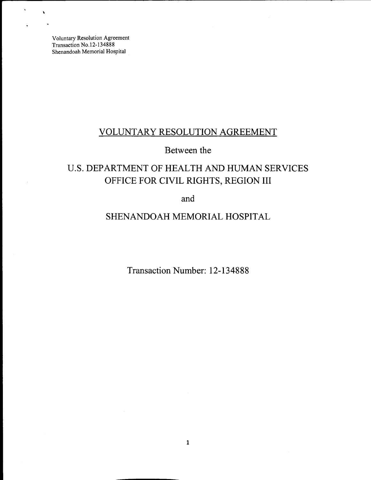$\lambda$ 

# VOLUNTARY RESOLUTION AGREEMENT

## Between the

# U.S. DEPARTMENT OF HEALTH AND HUMAN SERVICES OFFICE FOR CIVIL RIGHTS, REGION **III**

and

## SHENANDOAH MEMORIAL HOSPITAL

Transaction Number: 12-134888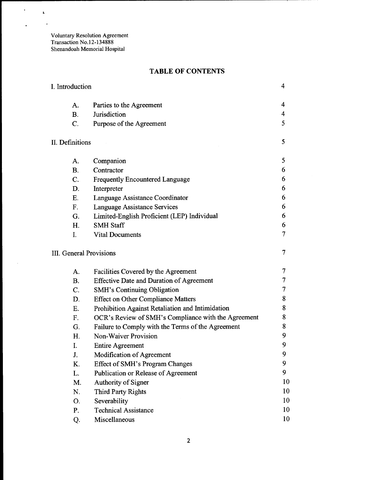$\mathcal{A}^{\pm}$ 

 $\ddot{\phantom{0}}$ 

 $\sim$ 

 $\hat{\mathbf{A}}$  $\sim$   $\star$ 

## **TABLE OF CONTENTS**

| I. Introduction         |                                                     | 4              |
|-------------------------|-----------------------------------------------------|----------------|
| A.                      | Parties to the Agreement                            | 4              |
| <b>B.</b>               | Jurisdiction                                        | 4              |
| $\overline{C}$ .        | Purpose of the Agreement                            | 5              |
| II. Definitions         |                                                     | 5              |
| A.                      | Companion                                           | 5              |
| <b>B.</b>               | Contractor                                          | 6              |
| C.                      | <b>Frequently Encountered Language</b>              | 6              |
| D.                      | Interpreter                                         | 6              |
| E.                      | Language Assistance Coordinator                     | 6              |
| F.                      | <b>Language Assistance Services</b>                 | 6              |
| G.                      | Limited-English Proficient (LEP) Individual         | 6              |
| H.                      | <b>SMH Staff</b>                                    | 6              |
| I.                      | <b>Vital Documents</b>                              | $\overline{7}$ |
| III. General Provisions |                                                     | 7              |
| A.                      | Facilities Covered by the Agreement                 | 7              |
| <b>B.</b>               | <b>Effective Date and Duration of Agreement</b>     | 7              |
| C.                      | <b>SMH's Continuing Obligation</b>                  | 7              |
| D.                      | <b>Effect on Other Compliance Matters</b>           | 8              |
| E.                      | Prohibition Against Retaliation and Intimidation    | 8              |
| F.                      | OCR's Review of SMH's Compliance with the Agreement | 8              |
| G.                      | Failure to Comply with the Terms of the Agreement   | 8              |
| H.                      | <b>Non-Waiver Provision</b>                         | 9              |
| I.                      | <b>Entire Agreement</b>                             | 9              |
| J.                      | <b>Modification of Agreement</b>                    | 9              |
| K.                      | <b>Effect of SMH's Program Changes</b>              | 9              |
| L.                      | Publication or Release of Agreement                 | 9              |
| M.                      | Authority of Signer                                 | 10             |
| N.                      | <b>Third Party Rights</b>                           | 10             |
| Ο.                      | Severability                                        | 10             |
| P.                      | <b>Technical Assistance</b>                         | 10             |
| Q.                      | Miscellaneous                                       | 10             |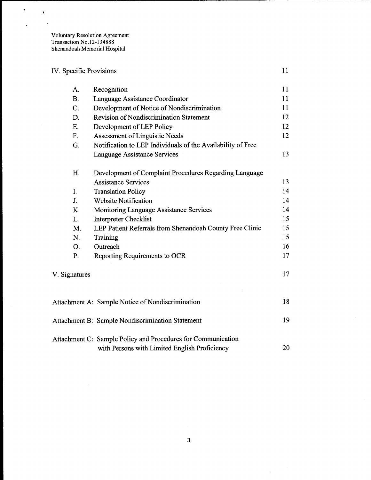# IV. Specific Provisions 11

 $\ddot{\phantom{1}}$ 

 $\bar{1}$ 

 $\hat{\textbf{a}}$  $\cdot$ 

| A.            | Recognition                                                                                                   | 11 |
|---------------|---------------------------------------------------------------------------------------------------------------|----|
| B.            | Language Assistance Coordinator                                                                               | 11 |
| C.            | Development of Notice of Nondiscrimination                                                                    | 11 |
| D.            | <b>Revision of Nondiscrimination Statement</b>                                                                | 12 |
| E.            | Development of LEP Policy                                                                                     | 12 |
| F.            | <b>Assessment of Linguistic Needs</b>                                                                         | 12 |
| G.            | Notification to LEP Individuals of the Availability of Free                                                   |    |
|               | Language Assistance Services                                                                                  | 13 |
| H.            | Development of Complaint Procedures Regarding Language                                                        |    |
|               | <b>Assistance Services</b>                                                                                    | 13 |
| I.            | <b>Translation Policy</b>                                                                                     | 14 |
| J.            | <b>Website Notification</b>                                                                                   | 14 |
| K.            | Monitoring Language Assistance Services                                                                       | 14 |
| L.            | <b>Interpreter Checklist</b>                                                                                  | 15 |
| M.            | LEP Patient Referrals from Shenandoah County Free Clinic                                                      | 15 |
| N.            | Training                                                                                                      | 15 |
| O.            | Outreach                                                                                                      | 16 |
| P.            | Reporting Requirements to OCR                                                                                 | 17 |
| V. Signatures |                                                                                                               | 17 |
|               | Attachment A: Sample Notice of Nondiscrimination                                                              | 18 |
|               | <b>Attachment B: Sample Nondiscrimination Statement</b>                                                       | 19 |
|               | Attachment C: Sample Policy and Procedures for Communication<br>with Persons with Limited English Proficiency | 20 |
|               |                                                                                                               |    |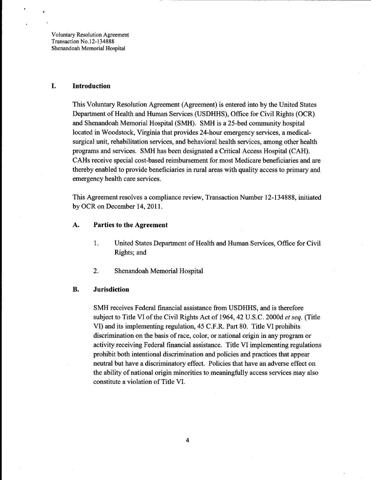#### **I. Introduction**

This Voluntary Resolution Agreement (Agreement) is entered into by the United States Department of Health and Human Services (USDHHS), Office for Civil Rights (OCR) and Shenandoah Memorial Hospital (SMH). SMH is a 25-bed community hospital located in Woodstock, Virginia that provides 24-hour emergency services, a medicalsurgical unit, rehabilitation services, and behavioral health services, among other health programs and services. SMH has been designated a Critical Access Hospital (CAH). CAHs receive special cost-based reimbursement for most Medicare beneficiaries and are thereby enabled to provide beneficiaries in rural areas with quality access to primary and emergency health care services.

This Agreement resolves a compliance review, Transaction Number 12-134888, initiated by OCR on December 14, 2011.

#### A. **Parties to the Agreement**

- 1. United States Department of Health and Human Services, Office for Civil Rights; and
- 2. Shenandoah Memorial Hospital

#### **B. Jurisdiction**

SMH receives Federal financial assistance from USDHHS, and is therefore subject to Title VI of the Civil Rights Act of 1964, 42 U.S.C. 2000d et seq. (Title VI) and its implementing regulation, 45 C.F.R. Part 80. Title VI prohibits discrimination on the basis of race, color, or national origin in any program or activity receiving Federal financial assistance. Title VI implementing regulations prohibit both intentional discrimination and policies and practices that appear neutral but have a discriminatory effect. Policies that have an adverse effect on the ability of national origin minorities to meaningfully access services may also constitute a violation of Title VI.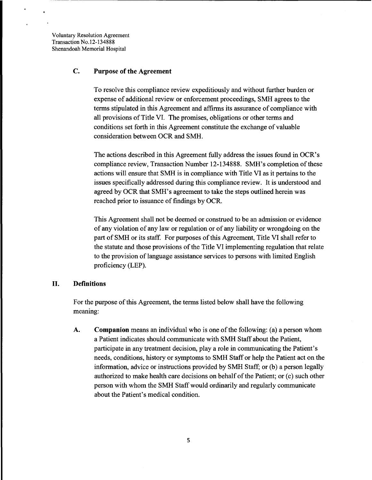## C. **Purpose of the Agreement**

To resolve this compliance review expeditiously and without further burden or expense of additional review or enforcement proceedings, SMH agrees to the terms stipulated in this Agreement and affirms its assurance of compliance with all provisions of Title VI. The promises, obligations or other terms and conditions set forth in this Agreement constitute the exchange of valuable consideration between OCR and SMH.

The actions described in this Agreement fully address the issues found in OCR's compliance review, Transaction Number 12-134888. SMH's completion ofthese actions will ensure that SMH is in compliance with Title VI as it pertains to the issues specifically addressed during this compliance review. It is understood and agreed by OCR that SMH's agreement to take the steps outlined herein was reached prior to issuance of findings by OCR.

This Agreement shall not be deemed or construed to be an admission or evidence of any violation of any law or regulation or of any liability or wrongdoing on the part of SMH or its staff. For purposes of this Agreement, Title VI shall refer to the statute and those provisions of the Title VI implementing regulation that relate to the provision of language assistance services to persons with limited English proficiency (LEP).

#### **II. Definitions**

For the purpose of this Agreement, the terms listed below shall have the following meaning:

A. **Companion** means an individual who is one ofthe following: (a) a person whom a Patient indicates should communicate with SMH Staff about the Patient, participate in any treatment decision, playa role in communicating the Patient's needs, conditions, history or symptoms to SMH Staff or help the Patient act on the information, advice or instructions provided by SMH Staff; or (b) a person legally authorized to make health care decisions on behalf of the Patient; or (c) such other person with whom the SMH StafIwould ordinarily and regularly communicate about the Patient's medical condition.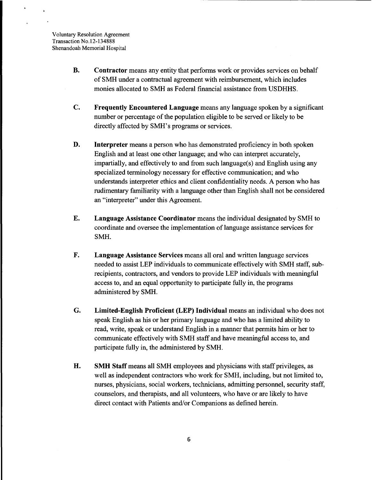$\Delta$ 

- B. Contractor means any entity that performs work or provides services on behalf of SMH under a contractual agreement with reimbursement, which includes monies allocated to SMH as Federal financial assistance from USDHHS.
- C. Frequently Encountered Language means any language spoken by a significant number or percentage of the population eligible to be served or likely to be directly affected by SMH's programs or services.
- D. Interpreter means a person who has demonstrated proficiency in both spoken English and at least one other language; and who can interpret accurately, impartially, and effectively to and from such language(s) and English using any specialized terminology necessary for effective communication; and who understands interpreter ethics and client confidentiality needs. A person who has rudimentary familiarity with a language other than English shall not be considered an "interpreter" under this Agreement.
- E. Language Assistance Coordinator means the individual designated by SMH to coordinate and oversee the implementation of language assistance services for SMH.
- F. Language Assistance Services means all oral and written language services needed to assist LEP individuals to communicate effectively with SMH staff, subrecipients, contractors, and vendors to provide LEP individuals with meaningful access to, and an equal opportunity to participate fully in, the programs administered by SMH.
- G. Limited-English Proficient (LEP) Individual means an individual who does not speak English as his or her primary language and who has a limited ability to read, write, speak or understand English in a manner that permits him or her to communicate effectively with SMH staff and have meaningful access to, and participate fully in, the administered by SMH.
- H. SMH Staff means all SMH employees and physicians with staff privileges, as well as independent contractors who work for SMH, including, but not limited to, nurses, physicians, social workers, technicians, admitting personnel, security staff, counselors, and therapists, and all volunteers, who have or are likely to have direct contact with Patients and/or Companions as defined herein.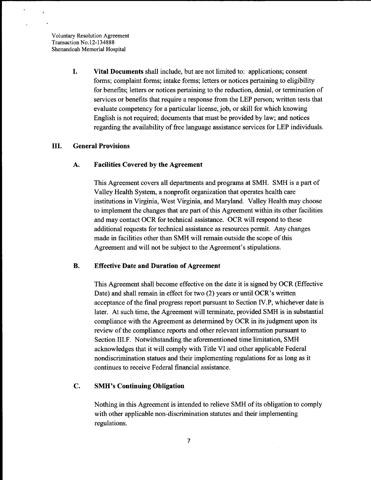$\bullet$ 

I. Vital Documents shall include, but are not limited to: applications; consent forms; complaint forms; intake forms; letters or notices pertaining to eligibility for benefits; letters or notices pertaining to the reduction, denial, or termination of services or benefits that require a response from the LEP person; written tests that evaluate competency for a particular license, job, or skill for which knowing English is not required; documents that must be provided by law; and notices regarding the availability of free language assistance services for LEP individuals.

#### III. General Provisions

#### A. Facilities Covered by the Agreement

This Agreement covers all departments and programs at SMH. SMH is a part of Valley Health System, a nonprofit organization that operates health care institutions in Virginia, West Virginia, and Maryland. Valley Health may choose to implement the changes that are part of this Agreement within its other facilities and may contact OCR for technical assistance. OCR will respond to these additional requests for technical assistance as resources permit. Any changes made in facilities other than SMH will remain outside the scope of this Agreement and will not be subject to the Agreement's stipulations.

#### B. Effective Date and Duration of Agreement

This Agreement shall become effective on the date it is signed by OCR (Effective Date) and shall remain in effect for two (2) years or until OCR's written acceptance ofthe final progress report pursuant to Section *N.P,* whichever date is later. At such time, the Agreement will terminate, provided SMH is in substantial compliance with the Agreement as determined by OCR in its judgment upon its review of the compliance reports and other relevant information pursuant to Section III.F. Notwithstanding the aforementioned time limitation, SMH acknowledges that it will comply with Title VI and other applicable Federal nondiscrimination statues and their implementing regulations for as long as it continues to receive Federal financial assistance.

#### C. SMH's Continuing Obligation

Nothing in this Agreement is intended to relieve SMH of its obligation to comply with other applicable non-discrimination statutes and their implementing regulations.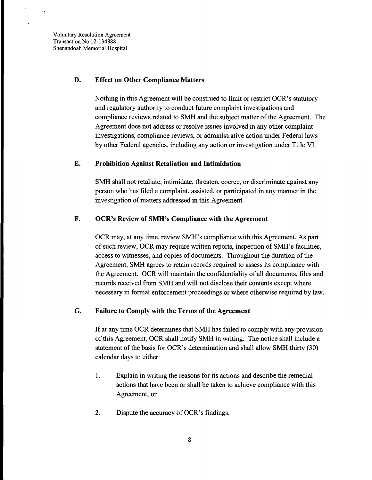#### D. Effect on Other Compliance Matters

Nothing in this Agreement will be construed to limit or restrict OCR's statutory and regulatory authority to conduct future complaint investigations and compliance reviews related to SMH and the subject matter of the Agreement. The Agreement does not address or resolve issues involved in any other complaint investigations, compliance reviews, or administrative action under Federal laws by other Federal agencies, including any action or investigation under Title VI.

#### E. Prohibition Against Retaliation and Intimidation

SMH shall not retaliate, intimidate, threaten, coerce, or discriminate against any person who has filed a complaint, assisted, or participated in any manner in the investigation of matters addressed in this Agreement.

## F. OCR's Review of SMH's Compliance with the Agreement

OCR may, at any time, review SMH's compliance with this Agreement. As part of such review, OCR may require written reports, inspection of SMH's facilities, access to witnesses, and copies of documents. Throughout the duration of the Agreement, SMH agrees to retain records required to assess its compliance with the Agreement. OCR will maintain the confidentiality of all documents, files and records received from SMH and will not disclose their contents except where necessary in formal enforcement proceedings or where otherwise required by law.

#### G. Failure to Comply with the Terms of the Agreement

If at any time OCR determines that SMH has failed to comply with any provision of this Agreement, OCR shall notify SMH in writing. The notice shall include a statement of the basis for OCR's determination and shall allow SMH thirty (30) calendar days to either:

- 1. Explain in writing the reasons for its actions and describe the remedial actions that have been or shall be taken to achieve compliance with this Agreement; or
- 2. Dispute the accuracy of OCR's findings.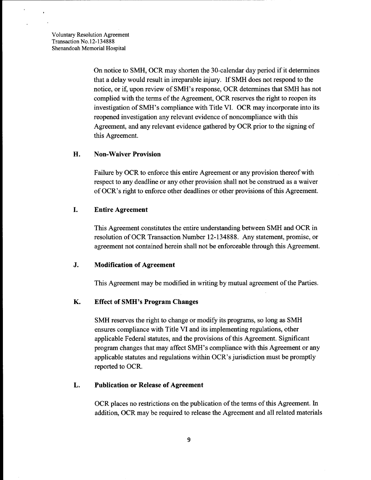$\rlap{-}$ 

On notice to SMH, OCR may shorten the 30-calendar day period if it determines that a delay would result in irreparable injury. If SMH does not respond to the notice, or if, upon review of SMH's response, OCR determines that SMH has not complied with the terms of the Agreement, OCR reserves the right to reopen its investigation ofSMH's compliance with Title VI. OCR may incorporate into its reopened investigation any relevant evidence of noncompliance with this Agreement, and any relevant evidence gathered by OCR prior to the signing of this Agreement.

#### H. Non-Waiver Provision

...---------------------------------------------------

Failure by OCR to enforce this entire Agreement or any provision thereof with respect to any deadline or any other provision shall not be construed as a waiver of OCR's right to enforce other deadlines or other provisions ofthis Agreement.

#### I. Entire Agreement

This Agreement constitutes the entire understanding between SMH and OCR in resolution of OCR Transaction Number 12-134888. Any statement, promise, or agreement not contained herein shall not be enforceable through this Agreement.

#### J. Modification of Agreement

This Agreement may be modified in writing by mutual agreement of the Parties.

## K. Effect of SMH's Program Changes

SMH reserves the right to change or modify its programs, so long as SMH ensures compliance with Title VI and its implementing regulations, other applicable Federal statutes, and the provisions ofthis Agreement. Significant program changes that may affect SMH's compliance with this Agreement or any applicable statutes and regulations within OCR's jurisdiction must be promptly reported to OCR.

#### L. Publication or Release of Agreement

OCR places no restrictions on the publication of the terms of this Agreement. In addition, OCR may be required to release the Agreement and all related materials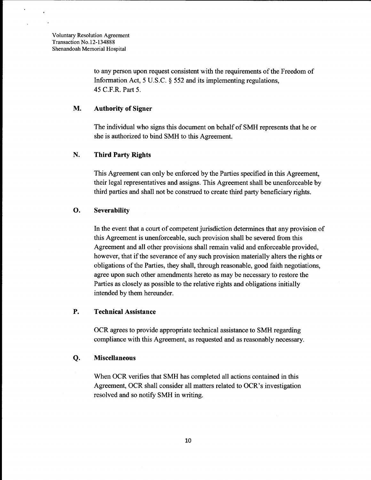$\hat{\textbf{r}}$ 

 $\ddot{\phantom{a}}$ 

to any person upon request consistent with the requirements of the Freedom of Information Act, 5 U.S.C.  $\S$  552 and its implementing regulations, 45 C.F.R. Part 5.

#### **M. Authority of Signer**

The individual who signs this document on behalf of SMH represents that he or she is authorized to bind SMH to this Agreement.

#### N. **Third Party Rights**

This Agreement can only be enforced by the Parties specified in this Agreement, their legal representatives and assigns. This Agreement shall be unenforceable by third parties and shall not be construed to create third party beneficiary rights.

#### **o. Severability**

In the event that a court of competent jurisdiction determines that any provision of this Agreement is unenforceable, such provision shall be severed from this Agreement and all other provisions shall remain valid and enforceable provided, however, that if the severance of any such provision materially alters the rights or obligations of the Parties, they shall, through reasonable, good faith negotiations, agree upon such other amendments hereto as may be necessary to restore the Parties as closely as possible to the relative rights and obligations initially intended by them hereunder.

## **P. Technical Assistance**

OCR agrees to provide appropriate technical assistance to SMH regarding compliance with this Agreement, as requested and as reasonably necessary.

#### **Q. Miscellaneous**

When OCR verifies that SMH has completed all actions contained in this Agreement, OCR shall consider all matters related to OCR's investigation resolved and so notify SMH in writing.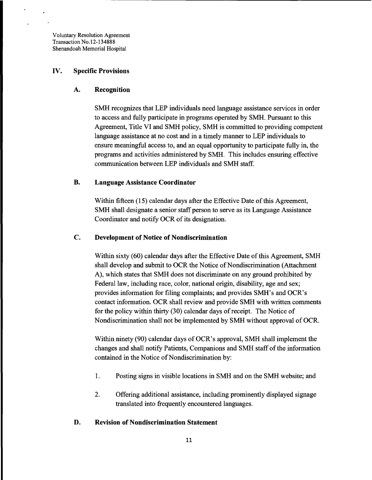#### IV. Specific Provisions

#### A. Recognition

SMH recognizes that LEP individuals need language assistance services in order to access and fully participate in programs operated by SMH. Pursuant to this Agreement, Title VI and SMH policy, SMH is committed to providing competent language assistance at no cost and in a timely manner to LEP individuals to ensure meaningful access to, and an equal opportunity to participate fully in, the programs and activities administered by SMH. This includes ensuring effective communication between LEP individuals and SMH staff.

#### B. Language Assistance Coordinator

Within fifteen (15) calendar days after the Effective Date of this Agreement, SMH shall designate a senior staff person to serve as its Language Assistance Coordinator and notify OCR of its designation.

#### C. Development of Notice of Nondiscrimination

Within sixty (60) calendar days after the Effective Date of this Agreement, SMH shall develop and submit to OCR the Notice of Nondiscrimination (Attachment A), which states that SMH does not discriminate on any ground prohibited by Federal law, including race, color, national origin, disability, age and sex; provides information for filing complaints; and provides SMH's and OCR's contact information. OCR shall review and provide SMH with written comments for the policy within thirty (30) calendar days of receipt. The Notice of Nondiscrimination shall not be implemented by SMH without approval of OCR.

Within ninety (90) calendar days of OCR's approval, SMH shall implement the changes and shall notify Patients, Companions and SMH staff of the information contained in the Notice of Nondiscrimination by:

- 1. Posting signs in visible locations in SMH and on the SMH website; and
- 2. Offering additional assistance, including prominently displayed signage translated into frequently encountered languages.

#### D. Revision of Nondiscrimination Statement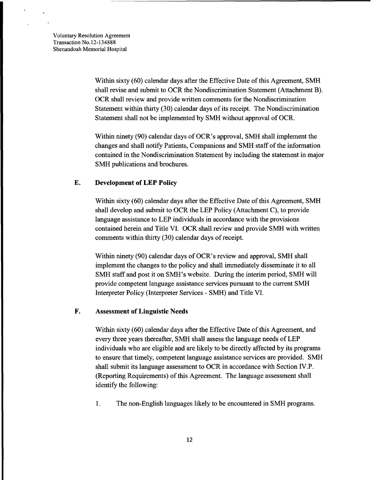$\overline{\phantom{a}}$ 

Within sixty (60) calendar days after the Effective Date of this Agreement, SMH shall revise and submit to OCR the Nondiscrimination Statement (Attachment B). OCR shall review and provide written comments for the Nondiscrimination Statement within thirty (30) calendar days of its receipt. The Nondiscrimination Statement shall not be implemented by SMH without approval of OCR.

Within ninety (90) calendar days of OCR's approval, SMH shall implement the changes and shall notify Patients, Companions and SMH staff of the information contained in the Nondiscrimination Statement by including the statement in major SMH publications and brochures.

#### **E. Development of LEP Policy**

Within sixty (60) calendar days after the Effective Date of this Agreement, SMH shall develop and submit to OCR the LEP Policy (Attachment C), to provide language assistance to LEP individuals in accordance with the provisions contained herein and Title VI. OCR shall review and provide SMH with written comments within thirty (30) calendar days of receipt.

Within ninety (90) calendar days of OCR's review and approval, SMH shall implement the changes to the policy and shall immediately disseminate it to all SMH staff and post it on SMH's website. During the interim period, SMH will provide competent language assistance services pursuant to the current SMH Interpreter Policy (Interpreter Services - SMH) and Title VI.

#### **F. Assessment of Linguistic Needs**

Within sixty (60) calendar days after the Effective Date of this Agreement, and every three years thereafter, SMH shall assess the language needs of LEP individuals who are eligible and are likely to be directly affected by its programs to ensure that timely, competent language assistance services are provided. SMH shall submit its language assessment to OCR in accordance with Section IV.P. (Reporting Requirements) of this Agreement. The language assessment shall identify the following:

1. The non-English languages likely to be encountered in SMH programs.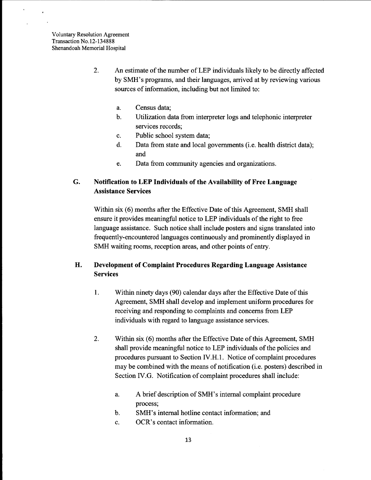$\mathbf{r}$ 

- 2. An estimate of the number of LEP individuals likely to be directly affected by SMH's programs, and their languages, arrived at by reviewing various sources of information, including but not limited to:
	- a. Census data;
	- b. Utilization data from interpreter logs and telephonic interpreter services records;
	- c. Public school system data;
	- d. Data from state and local governments (i.e. health district data); and
	- e. Data from community agencies and organizations.

## G. Notification to LEP Individuals of the Availability of Free Language Assistance Services

Within six (6) months after the Effective Date of this Agreement, SMH shall ensure it provides meaningful notice to LEP individuals of the right to free language assistance. Such notice shall include posters and signs translated into frequently-encountered languages continuously and prominently displayed in SMH waiting rooms, reception areas, and other points of entry.

## H. Development of Complaint Procedures Regarding Language Assistance Services

- 1. Within ninety days (90) calendar days after the Effective Date of this Agreement, SMH shall develop and implement uniform procedures for receiving and responding to complaints and concerns from LEP individuals with regard to language assistance services.
- 2. Within six (6) months after the Effective Date of this Agreement, SMH shall provide meaningful notice to LEP individuals of the policies and procedures pursuant to Section IV.H.I. Notice of complaint procedures may be combined with the means of notification (i.e. posters) described in Section IV.G. Notification of complaint procedures shall include:
	- a. A brief description of SMH' s internal complaint procedure process;
	- b. SMH's internal hotline contact information; and
	- c. OCR's contact information.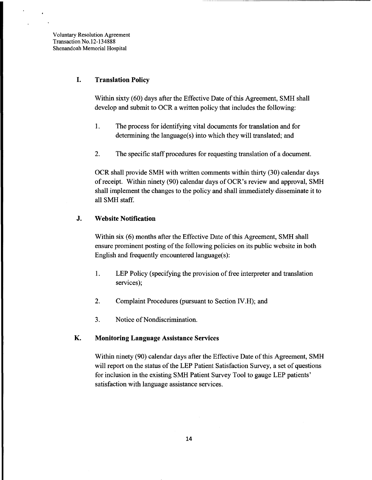$\Delta$ 

## **I.** Translation Policy

Within sixty (60) days after the Effective Date of this Agreement, SMH shall develop and submit to OCR a written policy that includes the following:

- 1. The process for identifying vital documents for translation and for determining the language(s) into which they will translated; and
- 2. The specific staff procedures for requesting translation of a document.

OCR shall provide SMH with written comments within thirty (30) calendar days of receipt. Within ninety (90) calendar days of OCR's review and approval, SMH shall implement the changes to the policy and shall immediately disseminate it to all SMH staff.

## J. Website Notification

Within six (6) months after the Effective Date of this Agreement, SMH shall ensure prominent posting of the following policies on its public website in both English and frequently encountered language(s):

- 1. LEP Policy (specifying the provision of free interpreter and translation services);
- 2. Complaint Procedures (pursuant to Section IV.H); and
- 3. Notice of Nondiscrimination.

## K. Monitoring Language Assistance Services

Within ninety (90) calendar days after the Effective Date of this Agreement, SMH will report on the status of the LEP Patient Satisfaction Survey, a set of questions for inclusion in the existing SMH Patient Survey Tool to gauge LEP patients' satisfaction with language assistance services.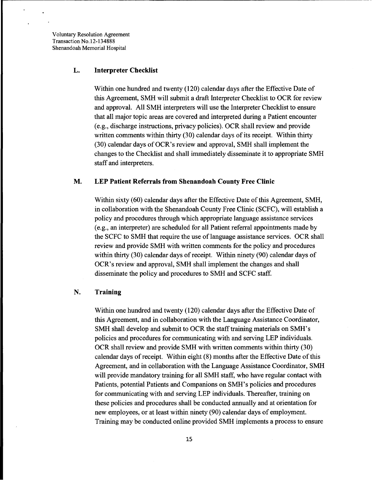$\overline{a}$ 

#### L. Interpreter Checklist

Within one hundred and twenty (120) calendar days after the Effective Date of this Agreement, SMH will submit a draft Interpreter Checklist to OCR for review and approval. All SMH interpreters will use the Interpreter Checklist to ensure that all major topic areas are covered and interpreted during a Patient encounter (e.g., discharge instructions, privacy policies). OCR shall review and provide written comments within thirty  $(30)$  calendar days of its receipt. Within thirty (30) calendar days of OCR's review and approval, SMH shall implement the changes to the Checklist and shall immediately disseminate it to appropriate SMH staff and interpreters.

#### M. LEP Patient Referrals from Shenandoah County Free Clinic

Within sixty (60) calendar days after the Effective Date of this Agreement, SMH, in collaboration with the Shenandoah County Free Clinic (SCFC), will establish a policy and procedures through which appropriate language assistance services (e.g., an interpreter) are scheduled for all Patient referral appointments made by the SCFC to SMH that require the use of language assistance services. OCR shall review and provide SMH with written comments for the policy and procedures within thirty (30) calendar days of receipt. Within ninety (90) calendar days of OCR's review and approval, SMH shall implement the changes and shall disseminate the policy and procedures to SMH and SCFC staff.

#### N. Training

Within one hundred and twenty (120) calendar days after the Effective Date of this Agreement, and in collaboration with the Language Assistance Coordinator, SMH shall develop and submit to OCR the staff training materials on SMH's policies and procedures for communicating with and serving LEP individuals. OCR shall review and provide SMH with written comments within thirty (30) calendar days of receipt. Within eight  $(8)$  months after the Effective Date of this Agreement, and in collaboration with the Language Assistance Coordinator, SMH will provide mandatory training for all SMH staff, who have regular contact with Patients, potential Patients and Companions on SMH's policies and procedures for communicating with and serving LEP individuals. Thereafter, training on these policies and procedures shall be conducted annually and at orientation for new employees, or at least within ninety (90) calendar days of employment. Training may be conducted online provided SMH implements a process to ensure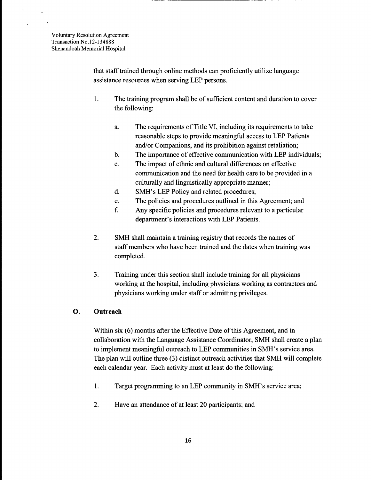that staff trained through online methods can proficiently utilize language assistance resources when serving LEP persons.

- 1. The training program shall be of sufficient content and duration to cover the following:
	- a. The requirements of Title VI, including its requirements to take reasonable steps to provide meaningful access to LEP Patients and/or Companions, and its prohibition against retaliation;
	- b. The importance of effective communication with LEP individuals;
	- c. The impact of ethnic and cultural differences on effective communication and the need for health care to be provided in a culturally and linguistically appropriate manner;
	- d. SMH's LEP Policy and related procedures;
	- e. The policies and procedures outlined in this Agreement; and
	- f. Any specific policies and procedures relevant to a particular department's interactions with LEP Patients.
- 2. SMH shall maintain a training registry that records the names of staff members who have been trained and the dates when training was completed.
- 3. Training under this section shall include training for all physicians working at the hospital, including physicians working as contractors and physicians working under staff or admitting privileges.

#### **O. Outreach**

Within six (6) months after the Effective Date of this Agreement, and in collaboration with the Language Assistance Coordinator, SMH shall create a plan to implement meaningful outreach to LEP communities in SMH's service area. The plan will outline three (3) distinct outreach activities that SMH will complete each calendar year. Each activity must at least do the following:

- 1. Target programming to an LEP community in SMH's service area;
- 2. Have an attendance of at least 20 participants; and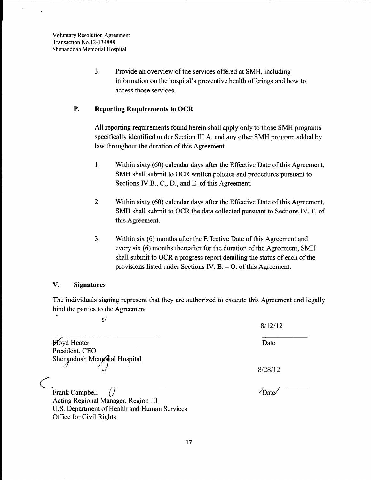$\ddot{\phantom{0}}$ 

3. Provide an overview of the services offered at SMH, including information on the hospital's preventive health offerings and how to access those services.

.-------------------------------------------------------

## **P. Reporting Requirements to OCR**

All reporting requirements found herein shall apply only to those SMH programs specifically identified under Section IILA. and any other SMH program added by law throughout the duration of this Agreement.

- 1. Within sixty (60) calendar days after the Effective Date of this Agreement, SMH shall submit to OCR written policies and procedures pursuant to Sections *N.B.,* C., D., and E. of this Agreement.
- 2. Within sixty (60) calendar days after the Effective Date of this Agreement, SMH shall submit to OCR the data collected pursuant to Sections *N.* F. of this Agreement.
- 3. Within six (6) months after the Effective Date of this Agreement and every six (6) months thereafter for the duration of the Agreement, SMH shall submit to OCR a progress report detailing the status of each of the provisions listed under Sections IV. B. - O. of this Agreement.

Date

 $\sqrt{a}$  bate

8/12/12

#### **v. Signatures**

Office for Civil Rights

The individuals signing represent that they are authorized to execute this Agreement and legally bind the parties to the Agreement.

s/<br>
8/12/12<br>
Date<br>
popial Hospital<br>
8/28/12 **Ployd Heater** President, CEO Shenandoah Memorial Hospital ( J Frank Campbell Acting Regional Manager, Region III U.S. Department of Health and Human Services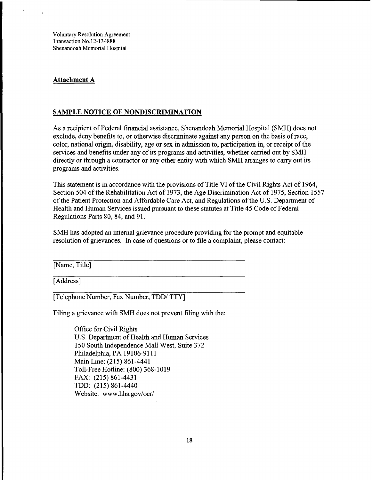#### **Attachment A**

#### **SAMPLE NOTICE OF NONDISCRIMINATION**

As a recipient of Federal financial assistance, Shenandoah Memorial Hospital (SMH) does not exclude, deny benefits to, or otherwise discriminate against any person on the basis of race, color, national origin, disability, age or sex in admission to, participation in, or receipt of the services and benefits under any of its programs and activities, whether carried out by SMH directly or through a contractor or any other entity with which SMH arranges to carry out its programs and activities.

This statement is in accordance with the provisions of Title VI of the Civil Rights Act of 1964, Section 504 of the Rehabilitation Act of 1973, the Age Discrimination Act of 1975, Section 1557 of the Patient Protection and Affordable Care Act, and Regulations of the U.S. Department of Health and Human Services issued pursuant to these statutes at Title 45 Code of Federal Regulations Parts 80,84, and 91.

SMH has adopted an internal grievance procedure providing for the prompt and equitable resolution of grievances. In case of questions or to file a complaint, please contact:

[Name, Title]

[Address]

[Telephone Number, Fax Number, TDD/ TTY]

Filing a grievance with SMH does not prevent filing with the:

Office for Civil Rights U.S. Department of Health and Human Services 150 South Independence Mall West, Suite 372 Philadelphia, PA 19106-9111 Main Line: (215) 861-4441 Toll-Free Hotline: (800) 368-1019 FAX: (215) 861-4431 TDD: (215) 861-4440 Website: www.hhs.gov/ocr/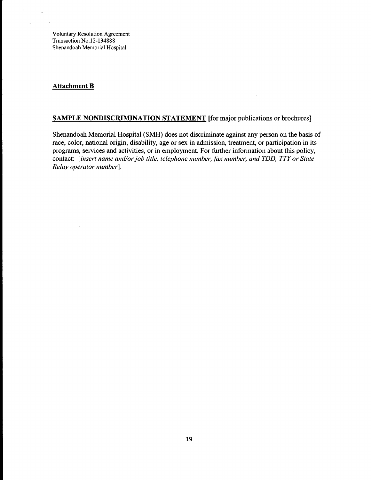#### **Attachment B**

 $\ddot{\phantom{0}}$ 

## **SAMPLE NONDISCRIMINATION STATEMENT** [for major publications or brochures]

Shenandoah Memorial Hospital (SMH) does not discriminate against any person on the basis of race, color, national origin, disability, age or sex in admission, treatment, or participation in its programs, services and activities, or in employment. For further information about this policy, contact: *[insert name and/or job title, telephone number, fax number, and TDD, TTY or State Relay operator number].*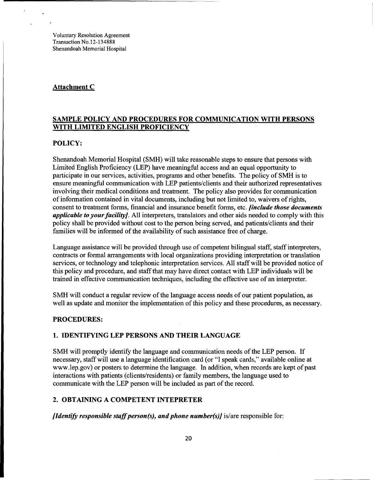## Attachment C

## SAMPLE POLICY AND PROCEDURES FOR COMMUNICATION WITH PERSONS WITH LIMITED ENGLISH PROFICIENCY

#### POLICY:

Shenandoah Memorial Hospital (SMH) will take reasonable steps to ensure that persons with Limited English Proficiency (LEP) have meaningful access and an equal opportunity to participate in our services, activities, programs and other benefits. The policy of SMH is to ensure meaningful communication with LEP patients/clients and their authorized representatives involving their medical conditions and treatment. The policy also provides for communication of information contained in vital documents, including but not limited to, waivers ofrights, consent to treatment forms, financial and insurance benefit forms, etc. *[include those documents applicable to your facility]*. All interpreters, translators and other aids needed to comply with this policy shall be provided without cost to the person being served, and patients/clients and their families will be informed of the availability of such assistance free of charge.

Language assistance will be provided through use of competent bilingual staff, staff interpreters, contracts or formal arrangements with local organizations providing interpretation or translation services, or technology and telephonic interpretation services. All staff will be provided notice of this policy and procedure, and staff that may have direct contact with LEP individuals will be trained in effective communication techniques, including the effective use of an interpreter.

SMH will conduct a regular review of the language access needs of our patient population, as well as update and monitor the implementation of this policy and these procedures, as necessary.

#### PROCEDURES:

#### 1. IDENTIFYING LEP PERSONS AND THEIR LANGUAGE

SMH will promptly identify the language and communication needs of the LEP person. If necessary, staff will use a language identification card (or "I speak cards," available online at www.lep.gov) or posters to determine the language. In addition, when records are kept of past interactions with patients (clients/residents) or family members, the language used to communicate with the LEP person will be included as part of the record.

#### 2. OBTAINING A COMPETENT INTEPRETER

*[Identify responsible staff person(s), and phone number(s)] is/are responsible for:*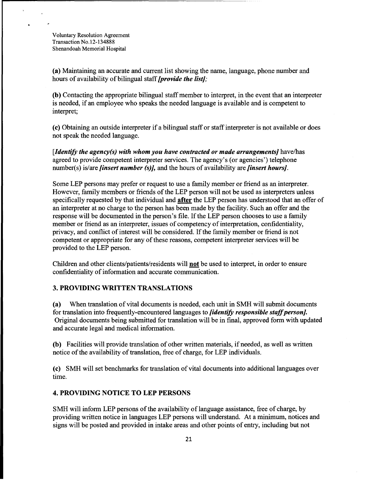$\hat{\textbf{a}}$ 

(a) Maintaining an accurate and current list showing the name, language, phone number and hours of availability of bilingual staff *[provide the list]*;

(b) Contacting the appropriate bilingual staff member to interpret, in the event that an interpreter is needed, if an employee who speaks the needed language is available and is competent to interpret;

(c) Obtaining an outside interpreter if a bilingual staff or staff interpreter is not available or does not speak the needed language.

*[Identify the agency(s) with whom you have contracted or made arrangements]* have/has agreed to provide competent interpreter services. The agency's (or agencies') telephone number(s) is/are *[insert number (s)],* and the hours of availability are *[insert hours].* 

Some LEP persons may prefer or request to use a family member or friend as an interpreter. However, family members or friends of the LEP person will not be used as interpreters unless specifically requested by that individual and after the LEP person has understood that an offer of an interpreter at no charge to the person has been made by the facility. Such an offer and the response will be documented in the person's file. If the LEP person chooses to use a family member or friend as an interpreter, issues of competency of interpretation, confidentiality, privacy, and conflict of interest will be considered. If the family member or friend is not competent or appropriate for any of these reasons, competent interpreter services will be provided to the LEP person.

Children and other clients/patients/residents will not be used to interpret, in order to ensure confidentiality of information and accurate communication.

#### 3. PROVIDING WRITTEN TRANSLATIONS

(a) When translation of vital documents is needed, each unit in SMH will submit documents for translation into frequently-encountered languages to *fidentify responsible staff person]*. Original documents being submitted for translation will be in final, approved form with updated and accurate legal and medical information.

(b) Facilities will provide translation of other written materials, ifneeded, as well as written notice of the availability of translation, free of charge, for LEP individuals.

(c) SMH will set benchmarks for translation of vital documents into additional languages over time.

## 4. PROVIDING NOTICE TO LEP PERSONS

SMH will inform LEP persons of the availability of language assistance, free of charge, by providing written notice in languages LEP persons will understand. At a minimum, notices and signs will be posted and provided in intake areas and other points of entry, including but not